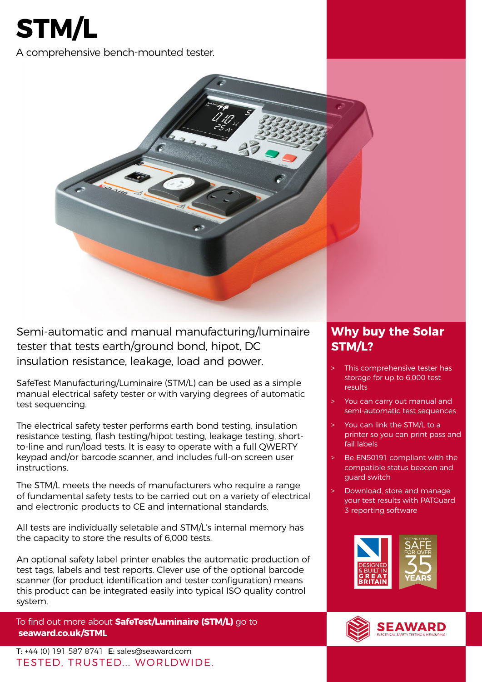

A comprehensive bench-mounted tester.



Semi-automatic and manual manufacturing/luminaire tester that tests earth/ground bond, hipot, DC insulation resistance, leakage, load and power.

SafeTest Manufacturing/Luminaire (STM/L) can be used as a simple manual electrical safety tester or with varying degrees of automatic test sequencing.

The electrical safety tester performs earth bond testing, insulation resistance testing, flash testing/hipot testing, leakage testing, shortto-line and run/load tests. It is easy to operate with a full QWERTY keypad and/or barcode scanner, and includes full-on screen user instructions.

The STM/L meets the needs of manufacturers who require a range of fundamental safety tests to be carried out on a variety of electrical and electronic products to CE and international standards.

All tests are individually seletable and STM/L's internal memory has the capacity to store the results of 6,000 tests.

An optional safety label printer enables the automatic production of test tags, labels and test reports. Clever use of the optional barcode scanner (for product identification and tester configuration) means this product can be integrated easily into typical ISO quality control system.

To find out more about **SafeTest/Luminaire (STM/L)** go to **seaward.co.uk/STML**

 T: +44 (0) 191 587 8741 E: sales@seaward.com TESTED. TRUSTED... WORLDWIDE.

## **Why buy the Solar STM/L?**

- This comprehensive tester has storage for up to 6,000 test results
- You can carry out manual and semi-automatic test sequences
- You can link the STM/L to a printer so you can print pass and fail labels
- Be FN50191 compliant with the compatible status beacon and guard switch
- Download, store and manage your test results with PATGuard 3 reporting software



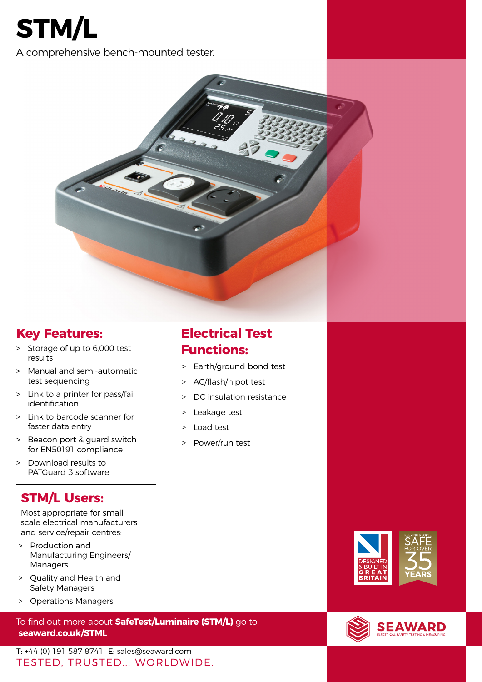

A comprehensive bench-mounted tester.



# **Key Features:**

- > Storage of up to 6,000 test results
- > Manual and semi-automatic test sequencing
- > Link to a printer for pass/fail identification
- > Link to barcode scanner for faster data entry
- > Beacon port & guard switch for EN50191 compliance
- > Download results to PATGuard 3 software

# **STM/L Users:**

Most appropriate for small scale electrical manufacturers and service/repair centres:

- > Production and Manufacturing Engineers/ Managers
- > Quality and Health and Safety Managers
- > Operations Managers

To find out more about **SafeTest/Luminaire (STM/L)** go to **seaward.co.uk/STML**

 T: +44 (0) 191 587 8741 E: sales@seaward.com TESTED, TRUSTED... WORLDWIDE.

# **Electrical Test Functions:**

- > Earth/ground bond test
- > AC/flash/hipot test
- > DC insulation resistance
- > Leakage test
- Load test
- > Power/run test



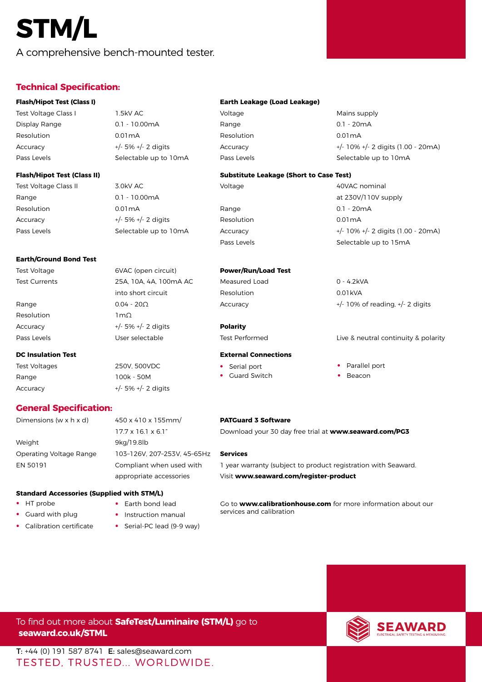# **STM/L**

## A comprehensive bench-mounted tester.

### **Technical Specification:**

#### **Earth/Ground Bond Test**

Test Currents 25A, 10A, 4A, 100mA AC Measured Load 0 - 4.2kVA Resolution 1mΩ Accuracy +/- 5% +/- 2 digits **Polarity**

Test Voltages 250V, 500VDC Range 100k - 50M Accuracy +/- 5% +/- 2 digits

#### **General Specification:**

Weight 9kg/19.8lb

#### **Standard Accessories (Supplied with STM/L)**

- **•** HT probe
- **•** Guard with plug
- 
- **•** Earth bond lead
- **•** Instruction manual
- **•** Calibration certificate **•** Serial-PC lead (9-9 way)

#### **Flash/Hipot Test (Class I) Earth Leakage (Load Leakage)**

Test Voltage Class I 1.5kV AC 1.5kV AC Voltage 1.5kV AC Voltage Mains supply Display Range 0.1 - 10.00mA Range 0.1 - 20mA Resolution 0.01mA Resolution 0.01mA Accuracy +/- 5% +/- 2 digits Accuracy +/- 10% +/- 2 digits (1.00 - 20mA) Pass Levels **Selectable up to 10mA** Pass Levels **Selectable up to 10mA** Pass Levels **Selectable up to 10mA** 

#### **Flash/Hipot Test (Class II) Substitute Leakage (Short to Case Test)**

| Test Voltage Class II | 3.0kV AC                | Voltage     | 40VAC nominal                      |
|-----------------------|-------------------------|-------------|------------------------------------|
| Range                 | $0.1 - 10.00 \text{mA}$ |             | at 230V/110V supply                |
| Resolution            | 0.01mA                  | Range       | $0.1 - 20mA$                       |
| Accuracy              | $+/-$ 5% $+/-$ 2 digits | Resolution  | 0.01mA                             |
| Pass Levels           | Selectable up to 10mA   | Accuracy    | +/- 10% +/- 2 digits (1.00 - 20mA) |
|                       |                         | Pass Levels | Selectable up to 15mA              |
|                       |                         |             |                                    |

#### Test Voltage 6VAC (open circuit) **Power/Run/Load Test**

into short circuit Resolution 0.01kVA

#### **DC Insulation Test External Connections**

- **•** Serial port
- **•** Guard Switch **•** Beacon

Range 2004 - 20Ω Accuracy +/- 10% of reading, +/- 2 digits

Pass Levels **Test Performed** Test Performed Live & neutral continuity & polarity **Contains the User selectable** 

- **•** Parallel port
- 

#### Dimensions (w x h x d) 450 x 410 x 155mm/ **PATGuard 3 Software**

17.7 x 16.1 x 6.1" Download your 30 day free trial at **www.seaward.com/PG3**

#### EN 50191 Compliant when used with 1 year warranty (subject to product registration with Seaward. appropriate accessories Visit **www.seaward.com/register-product**

Go to **www.calibrationhouse.com** for more information about our services and calibration

### To find out more about **SafeTest/Luminaire (STM/L)** go to **seaward.co.uk/STML**

 T: +44 (0) 191 587 8741 E: sales@seaward.com TESTED. TRUSTED... WORLDWIDE.



Operating Voltage Range 103–126V, 207–253V, 45–65Hz **Services**